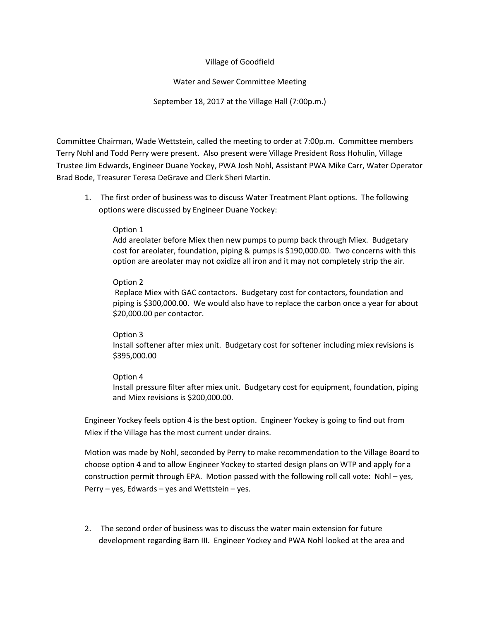# Village of Goodfield

# Water and Sewer Committee Meeting

# September 18, 2017 at the Village Hall (7:00p.m.)

Committee Chairman, Wade Wettstein, called the meeting to order at 7:00p.m. Committee members Terry Nohl and Todd Perry were present. Also present were Village President Ross Hohulin, Village Trustee Jim Edwards, Engineer Duane Yockey, PWA Josh Nohl, Assistant PWA Mike Carr, Water Operator Brad Bode, Treasurer Teresa DeGrave and Clerk Sheri Martin.

1. The first order of business was to discuss Water Treatment Plant options. The following options were discussed by Engineer Duane Yockey:

## Option 1

Add areolater before Miex then new pumps to pump back through Miex. Budgetary cost for areolater, foundation, piping & pumps is \$190,000.00. Two concerns with this option are areolater may not oxidize all iron and it may not completely strip the air.

#### Option 2

Replace Miex with GAC contactors. Budgetary cost for contactors, foundation and piping is \$300,000.00. We would also have to replace the carbon once a year for about \$20,000.00 per contactor.

#### Option 3

Install softener after miex unit. Budgetary cost for softener including miex revisions is \$395,000.00

## Option 4

Install pressure filter after miex unit. Budgetary cost for equipment, foundation, piping and Miex revisions is \$200,000.00.

Engineer Yockey feels option 4 is the best option. Engineer Yockey is going to find out from Miex if the Village has the most current under drains.

Motion was made by Nohl, seconded by Perry to make recommendation to the Village Board to choose option 4 and to allow Engineer Yockey to started design plans on WTP and apply for a construction permit through EPA. Motion passed with the following roll call vote: Nohl – yes, Perry  $-$  yes, Edwards  $-$  yes and Wettstein  $-$  yes.

2. The second order of business was to discuss the water main extension for future development regarding Barn III. Engineer Yockey and PWA Nohl looked at the area and